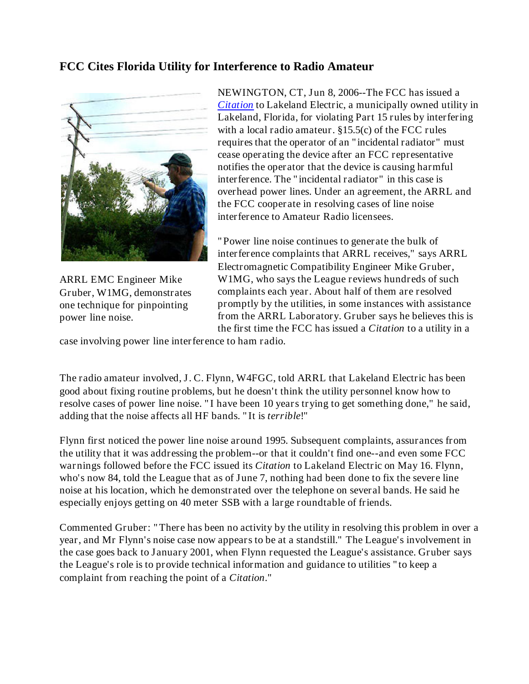## **FCC Cites Florida Utility for Interference to Radio Amateur**



ARRL EMC Engineer Mike Gruber, W1MG, demonstrates one technique for pinpointing power line noise.

NEWINGTON, CT, Jun 8, 2006--The FCC has issued a *Citation* to Lakeland Electric, a municipally owned utility in Lakeland, Florida, for violating Part 15 rules by interfering with a local radio amateur. §15.5(c) of the FCC rules requires that the operator of an "incidental radiator" must cease operating the device after an FCC representative notifies the operator that the device is causing harmful interference. The "incidental radiator" in this case is overhead power lines. Under an agreement, the ARRL and the FCC cooperate in resolving cases of line noise interference to Amateur Radio licensees.

"Power line noise continues to generate the bulk of interference complaints that ARRL receives," says ARRL Electromagnetic Compatibility Engineer Mike Gruber, W1MG, who says the League reviews hundreds of such complaints each year. About half of them are resolved promptly by the utilities, in some instances with assistance from the ARRL Laboratory. Gruber says he believes this is the first time the FCC has issued a *Citation* to a utility in a

case involving power line interference to ham radio.

The radio amateur involved, J. C. Flynn, W4FGC, told ARRL that Lakeland Electric has been good about fixing routine problems, but he doesn't think the utility personnel know how to resolve cases of power line noise. "I have been 10 years trying to get something done," he said, adding that the noise affects all HF bands. "It is *terrible*!"

Flynn first noticed the power line noise around 1995. Subsequent complaints, assurances from the utility that it was addressing the problem--or that it couldn't find one--and even some FCC warnings followed before the FCC issued its *Citation* to Lakeland Electric on May 16. Flynn, who's now 84, told the League that as of June 7, nothing had been done to fix the severe line noise at his location, which he demonstrated over the telephone on several bands. He said he especially enjoys getting on 40 meter SSB with a large roundtable of friends.

Commented Gruber: "There has been no activity by the utility in resolving this problem in over a year, and Mr Flynn's noise case now appears to be at a standstill." The League's involvement in the case goes back to January 2001, when Flynn requested the League's assistance. Gruber says the League's role is to provide technical information and guidance to utilities "to keep a complaint from reaching the point of a *Citation*."